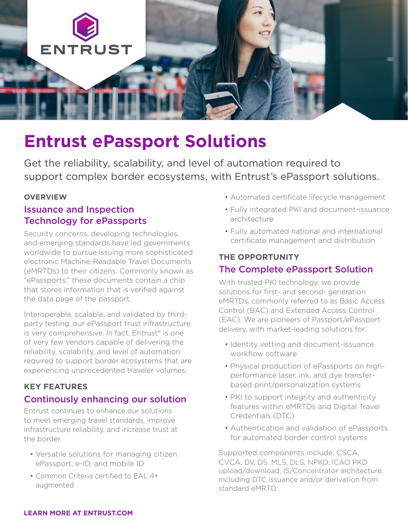

# **Entrust ePassport Solutions**

Get the reliability, scalability, and level of automation required to support complex border ecosystems, with Entrust's ePassport solutions.

#### **OVERVIEW**

## Issuance and Inspection Technology for ePassports

Security concerns, developing technologies, and emerging standards have led governments worldwide to pursue issuing more sophisticated electronic Machine-Readable Travel Documents (eMRTDs) to their citizens. Commonly known as "ePassports," these documents contain a chip that stores information that is verified against the data page of the passport.

Interoperable, scalable, and validated by thirdparty testing, our ePassport trust infrastructure is very comprehensive. In fact, Entrust® is one of very few vendors capable of delivering the reliability, scalability, and level of automation required to support border ecosystems that are experiencing unprecedented traveler volumes.

#### **KEY FEATURES**

### Continously enhancing our solution

Entrust continues to enhance our solutions to meet emerging travel standards, improve infrastructure reliability, and increase trust at the border.

- Versatile solutions for managing citizen ePassport, e-ID, and mobile ID
- Common Criteria certified to EAL 4+ augmented
- Automated certificate lifecycle management
- Fully integrated PKI and document-issuance architecture
- Fully automated national and international certificate management and distribution

#### **THE OPPORTUNITY**

### The Complete ePassport Solution

With trusted PKI technology, we provide solutions for first- and second- generation eMRTDs, commonly referred to as Basic Access Control (BAC) and Extended Access Control (EAC). We are pioneers of Passport/ePassport delivery, with market-leading solutions for:

- Identity vetting and document-issuance workflow software
- Physical production of ePassports on highperformance laser, ink, and dye transferbased print/personalization systems
- PKI to support integrity and authenticity features within eMRTDs and Digital Travel Credentials (DTC)
- Authentication and validation of ePassports for automated border control systems

Supported components include: CSCA, CVCA, DV, DS, MLS, DLS, NPKD, ICAO PKD upload/download, IS/Concentrator architecture, including DTC issuance and/or derivation from standard eMRTD.